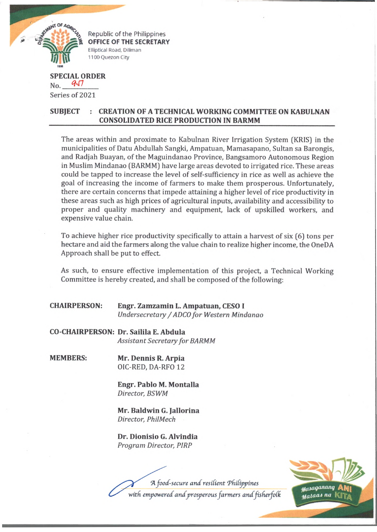

Republic of the Philippines **OFFICE OF THE SECRETARY** Elliptical Road, Diliman 1100 Quezon City

## **SPECIAL ORDER**  $N_{\rm O}$ . 957 Series of 2021

## **SUBJECT : CREATION OF A TECHNICAL WORKING COMMITTEE ON KABULNAN CONSOLIDATED RICE PRODUCTION IN BARMM**

The areas within and proximate to Kabulnan River Irrigation System (KRIS) in the municipalities of Datu Abdullah Sangki, Ampatuan, Mamasapano, Sultan sa Barongis, and Radjah Buayan, of the Maguindanao Province, Bangsamoro Autonomous Region in Muslim Mindanao (BARMM) have large areas devoted to irrigated rice. These areas could be tapped to increase the level of self-sufficiency in rice as well as achieve the goal of increasing the income of farmers to make them prosperous. Unfortunately, there are certain concerns that impede attaining a higher level of rice productivity in these areas such as high prices of agricultural inputs, availability and accessibility to proper and quality machinery and equipment, lack of upskilled workers, and expensive value chain.

To achieve higher rice productivity specifically to attain a harvest of six (6) tons per hectare and aid the farmers along the value chain to realize higher income, the OneDA Approach shall be put to effect.

As such, to ensure effective implementation of this project, a Technical Working Committee is hereby created, and shall be composed of the following:

| <b>CHAIRPERSON:</b> | Engr. Zamzamin L. Ampatuan, CESO I         |
|---------------------|--------------------------------------------|
|                     | Undersecretary / ADCO for Western Mindanao |

**CO-CHAIRPERSON: Dr. Sailila E. Abdula** *Assistant Secretary for BARMM*

**MEMBERS: Mr. Dennis R. Arpia** OIC-RED, DA-RFO 12

> **Engr. Pablo M. Montalla** *Director, BSWM*

> **Mr. Baldwin G. Jallorina** *Director, PhilMech*

**Dr. Dionisio G. Alvindia** *Program Director, PIRP*

A food-secure and resilient Philippines

with empowered and prosperous farmers and fisherfolk

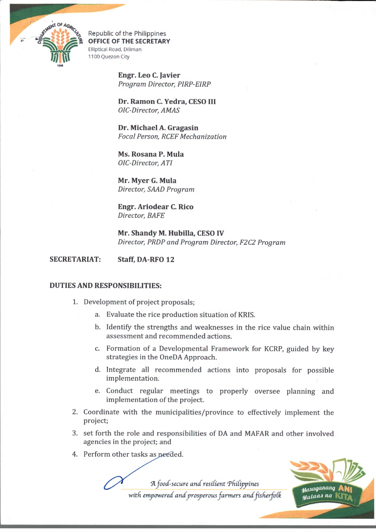

Republic of the Philippines OFFICE OF THE SECRETARY Elliptical Road, Diliman 1100 Quezon City

> **Engr. Leo C. Javier** *Program Director, PIRP-EIRP*

**Dr. Ramon C. Yedra, CESO HI** *OlC-Director, A MAS*

**Dr. Michael A. Gragasin** *Focal Person, RCEF Mechanization*

**Ms. Rosana P. Mula** *OIC-Director, ATI*

**Mr. Myer G. Mula** *Director, SAAD Program*

**Engr. Ariodear C. Rico** *Director, BAFE*

**Mr. Shandy M. Hubilla, CESO IV** *Director, PRDP and Program Director, F2C2 Program*

## **SECRETARIAT: Staff, DA-RFO 12**

## **DUTIES AND RESPONSIBILITIES:**

- 1. Development of project proposals;
	- a. Evaluate the rice production situation of KRIS.
	- b. Identify the strengths and weaknesses in the rice value chain within assessment and recommended actions.
	- c. Formation of a Developmental Framework for KCRP, guided by key strategies in the OneDA Approach.
	- d. Integrate all recommended actions into proposals for possible implementation.
	- e. Conduct regular meetings to properly oversee planning and implementation of the project.
- 2. Coordinate with the municipalities/province to effectively implement the project;
- 3. set forth the role and responsibilities of DA and MAFAR and other involved agencies in the project; and
- 4. Perform other tasks as needed

*A food-secure a n d resdient 'Philippines*

with empowered and prosperous farmers and fisherfolk